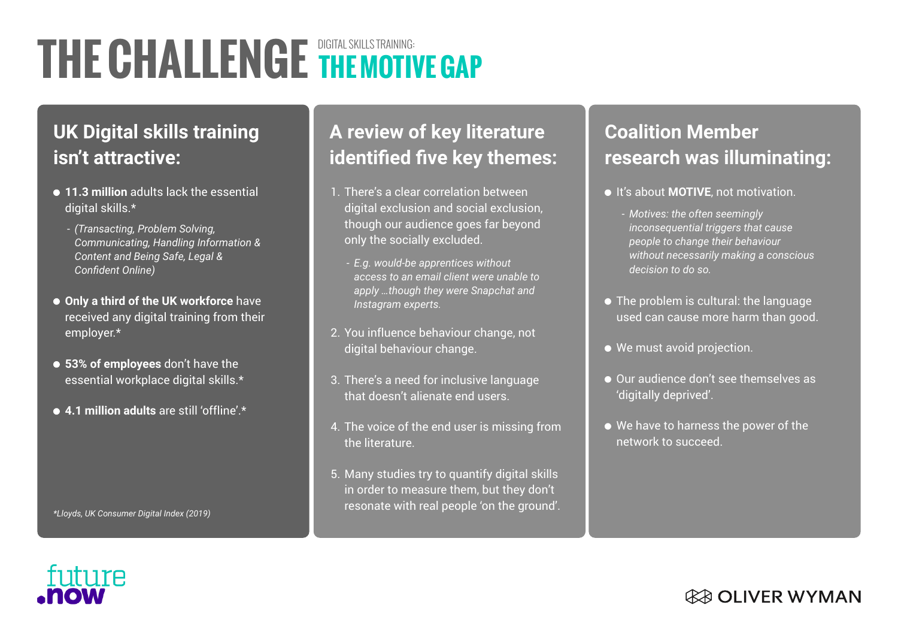# **THE CHALLENGE** DIGITAL SKILLS TRAINING: **THE MOTIVE GAP**

## **UK Digital skills training isn't attractive:**

- **11.3 million** adults lack the essential digital skills.\*
	- *(Transacting, Problem Solving, Communicating, Handling Information & Content and Being Safe, Legal & Confident Online)*
- **Only a third of the UK workforce** have received any digital training from their employer.\*
- **53% of employees** don't have the essential workplace digital skills.\*
- **4.1 million adults** are still 'offline' \*

**A review of key literature identified five key themes:**

- 1. There's a clear correlation between digital exclusion and social exclusion, though our audience goes far beyond only the socially excluded.
	- *E.g. would-be apprentices without access to an email client were unable to apply …though they were Snapchat and Instagram experts.*
- 2. You influence behaviour change, not digital behaviour change.
- 3. There's a need for inclusive language that doesn't alienate end users.
- The voice of the end user is missing from 4. the literature.
- Many studies try to quantify digital skills 5. in order to measure them, but they don't resonate with real people 'on the ground'.

### **Coalition Member research was illuminating:**

- **It's about MOTIVE**, not motivation.
	- *Motives: the often seemingly inconsequential triggers that cause people to change their behaviour without necessarily making a conscious decision to do so.*
- The problem is cultural: the language used can cause more harm than good.
- We must avoid projection.
- $\bullet$  Our audience don't see themselves as 'digitally deprived'.
- We have to harness the power of the network to succeed.

*\*Lloyds, UK Consumer Digital Index (2019)*

#### *CER OLIVER WYMAN*